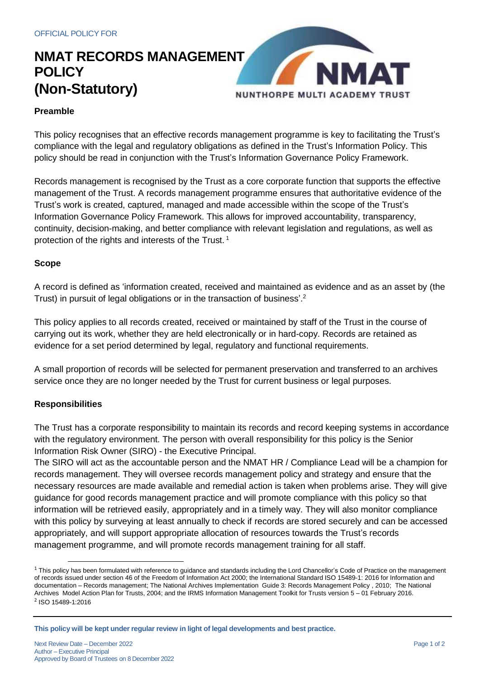## **NMAT RECORDS MANAGEMENT POLICY (Non-Statutory)**



### **Preamble**

This policy recognises that an effective records management programme is key to facilitating the Trust's compliance with the legal and regulatory obligations as defined in the Trust's Information Policy. This policy should be read in conjunction with the Trust's Information Governance Policy Framework.

Records management is recognised by the Trust as a core corporate function that supports the effective management of the Trust. A records management programme ensures that authoritative evidence of the Trust's work is created, captured, managed and made accessible within the scope of the Trust's Information Governance Policy Framework. This allows for improved accountability, transparency, continuity, decision-making, and better compliance with relevant legislation and regulations, as well as protection of the rights and interests of the Trust. 1

#### **Scope**

A record is defined as 'information created, received and maintained as evidence and as an asset by (the Trust) in pursuit of legal obligations or in the transaction of business'.<sup>2</sup>

This policy applies to all records created, received or maintained by staff of the Trust in the course of carrying out its work, whether they are held electronically or in hard-copy. Records are retained as evidence for a set period determined by legal, regulatory and functional requirements.

A small proportion of records will be selected for permanent preservation and transferred to an archives service once they are no longer needed by the Trust for current business or legal purposes.

### **Responsibilities**

The Trust has a corporate responsibility to maintain its records and record keeping systems in accordance with the regulatory environment. The person with overall responsibility for this policy is the Senior Information Risk Owner (SIRO) - the Executive Principal.

The SIRO will act as the accountable person and the NMAT HR / Compliance Lead will be a champion for records management. They will oversee records management policy and strategy and ensure that the necessary resources are made available and remedial action is taken when problems arise. They will give guidance for good records management practice and will promote compliance with this policy so that information will be retrieved easily, appropriately and in a timely way. They will also monitor compliance with this policy by surveying at least annually to check if records are stored securely and can be accessed appropriately, and will support appropriate allocation of resources towards the Trust's records management programme, and will promote records management training for all staff.

<sup>&</sup>lt;sup>1</sup> This policy has been formulated with reference to guidance and standards including the Lord Chancellor's Code of Practice on the management of records issued under section 46 of the Freedom of Information Act 2000; the International Standard ISO 15489-1: 2016 for Information and documentation – Records management; The National Archives Implementation Guide 3: Records Management Policy , 2010; The National Archives Model Action Plan for Trusts, 2004; and the IRMS Information Management Toolkit for Trusts version 5 – 01 February 2016. <sup>2</sup> ISO 15489-1:2016

**This policy will be kept under regular review in light of legal developments and best practice.**